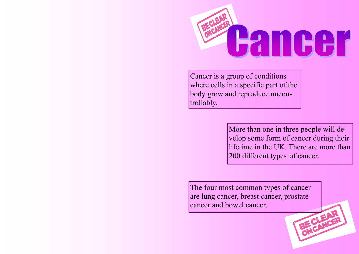

Cancer is a group of conditions where cells in a specific part of the body grow and reproduce uncontrollably.

> More than one in three people will develop some form of cancer during their lifetime in the UK. There are more than 200 different types of cancer.

The four most common types of cancer are lung cancer, breast cancer, prostate cancer and bowel cancer. BE CLEAR